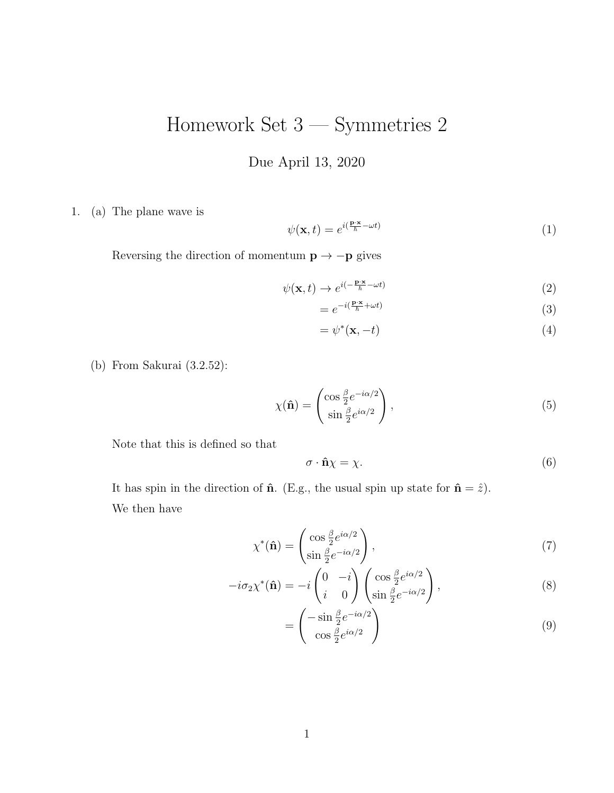## Homework Set 3 — Symmetries 2

Due April 13, 2020

1. (a) The plane wave is

$$
\psi(\mathbf{x},t) = e^{i(\frac{\mathbf{p}\cdot\mathbf{x}}{\hbar} - \omega t)}\tag{1}
$$

Reversing the direction of momentum  $\mathbf{p}\rightarrow-\mathbf{p}$  gives

$$
\psi(\mathbf{x},t) \to e^{i(-\frac{\mathbf{p}\cdot\mathbf{x}}{\hbar} - \omega t)}\tag{2}
$$

$$
=e^{-i(\frac{\mathbf{p}\cdot\mathbf{x}}{\hbar}+\omega t)}\tag{3}
$$

$$
=\psi^*(\mathbf{x},-t)\tag{4}
$$

(b) From Sakurai (3.2.52):

$$
\chi(\mathbf{\hat{n}}) = \begin{pmatrix} \cos\frac{\beta}{2}e^{-i\alpha/2} \\ \sin\frac{\beta}{2}e^{i\alpha/2} \end{pmatrix},\tag{5}
$$

Note that this is defined so that

$$
\sigma \cdot \hat{\mathbf{n}} \chi = \chi. \tag{6}
$$

It has spin in the direction of  $\hat{\mathbf{n}}$ . (E.g., the usual spin up state for  $\hat{\mathbf{n}} = \hat{z}$ ). We then have

$$
\chi^*(\hat{\mathbf{n}}) = \begin{pmatrix} \cos\frac{\beta}{2}e^{i\alpha/2} \\ \sin\frac{\beta}{2}e^{-i\alpha/2} \end{pmatrix},\tag{7}
$$

$$
-i\sigma_2 \chi^*(\hat{\mathbf{n}}) = -i \begin{pmatrix} 0 & -i \\ i & 0 \end{pmatrix} \begin{pmatrix} \cos \frac{\beta}{2} e^{i\alpha/2} \\ \sin \frac{\beta}{2} e^{-i\alpha/2} \end{pmatrix},
$$
(8)

$$
= \begin{pmatrix} -\sin\frac{\beta}{2}e^{-i\alpha/2} \\ \cos\frac{\beta}{2}e^{i\alpha/2} \end{pmatrix}
$$
 (9)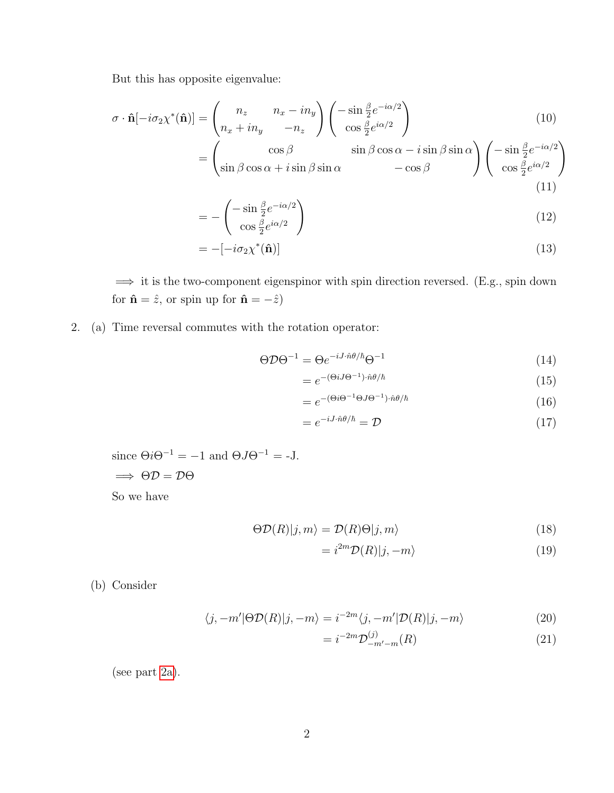But this has opposite eigenvalue:

$$
\sigma \cdot \hat{\mathbf{n}}[-i\sigma_2 \chi^* (\hat{\mathbf{n}})] = \begin{pmatrix} n_z & n_x - i n_y \\ n_x + i n_y & -n_z \end{pmatrix} \begin{pmatrix} -\sin\frac{\beta}{2} e^{-i\alpha/2} \\ \cos\frac{\beta}{2} e^{i\alpha/2} \end{pmatrix}
$$
(10)  
= 
$$
\begin{pmatrix} \cos\beta & \sin\beta\cos\alpha - i\sin\beta\sin\alpha \\ \sin\beta\cos\alpha + i\sin\beta\sin\alpha & -\cos\beta \end{pmatrix} \begin{pmatrix} -\sin\frac{\beta}{2} e^{-i\alpha/2} \\ \cos\frac{\beta}{2} e^{i\alpha/2} \end{pmatrix}
$$
(11)

$$
= -\begin{pmatrix} -\sin\frac{\beta}{2}e^{-i\alpha/2} \\ \cos\frac{\beta}{2}e^{i\alpha/2} \end{pmatrix}
$$
 (12)

$$
= -[-i\sigma_2 \chi^*(\hat{\mathbf{n}})] \tag{13}
$$

=⇒ it is the two-component eigenspinor with spin direction reversed. (E.g., spin down for  $\hat{\mathbf{n}}=\hat{z},$  or spin up for  $\hat{\mathbf{n}}=-\hat{z})$ 

<span id="page-1-0"></span>2. (a) Time reversal commutes with the rotation operator:

$$
\Theta \mathcal{D} \Theta^{-1} = \Theta e^{-iJ \cdot \hat{n}\theta/\hbar} \Theta^{-1} \tag{14}
$$

$$
=e^{-(\Theta iJ\Theta^{-1})\cdot\hat{n}\theta/\hbar} \tag{15}
$$

$$
=e^{-(\Theta i\Theta^{-1}\Theta J\Theta^{-1})\cdot\hat{n}\theta/\hbar} \tag{16}
$$

$$
=e^{-iJ\cdot\hat{n}\theta/\hbar}=\mathcal{D}\tag{17}
$$

since 
$$
\Theta i \Theta^{-1} = -1
$$
 and  $\Theta J \Theta^{-1} = -J$ .  
\n $\implies \Theta \mathcal{D} = \mathcal{D} \Theta$ 

So we have

$$
\Theta \mathcal{D}(R)|j,m\rangle = \mathcal{D}(R)\Theta|j,m\rangle \tag{18}
$$

$$
=i^{2m}\mathcal{D}(R)|j,-m\rangle\tag{19}
$$

(b) Consider

$$
\langle j, -m'|\Theta \mathcal{D}(R)|j, -m\rangle = i^{-2m}\langle j, -m'|\mathcal{D}(R)|j, -m\rangle \tag{20}
$$

$$
= i^{-2m} \mathcal{D}_{-m'-m}^{(j)}(R) \tag{21}
$$

(see part [2a\)](#page-1-0).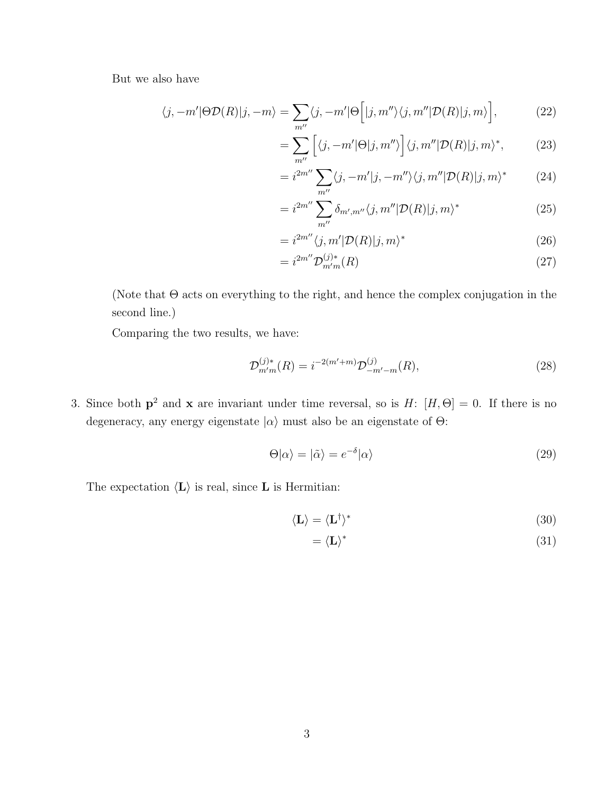But we also have

$$
\langle j, -m'|\Theta \mathcal{D}(R)|j, -m\rangle = \sum_{m''}\langle j, -m'|\Theta \Big[|j, m''\rangle \langle j, m''|\mathcal{D}(R)|j, m\rangle\Big],\tag{22}
$$

$$
= \sum_{m''} \left[ \langle j, -m' | \Theta | j, m'' \rangle \right] \langle j, m'' | \mathcal{D}(R) | j, m \rangle^*, \tag{23}
$$

$$
=i^{2m''}\sum_{m''}\langle j, -m'|j, -m''\rangle\langle j, m''|\mathcal{D}(R)|j, m\rangle^*
$$
 (24)

$$
=i^{2m''}\sum_{m''}\delta_{m',m''}\langle j,m''|\mathcal{D}(R)|j,m\rangle^*
$$
\n(25)

$$
=i^{2m''}\langle j,m'|D(R)|j,m\rangle^*
$$
\n(26)

$$
=i^{2m''} \mathcal{D}_{m'm}^{(j)*}(R) \tag{27}
$$

(Note that  $\Theta$  acts on everything to the right, and hence the complex conjugation in the second line.)

Comparing the two results, we have:

$$
\mathcal{D}_{m'm}^{(j)*}(R) = i^{-2(m'+m)} \mathcal{D}_{-m'-m}^{(j)}(R),\tag{28}
$$

3. Since both  $p^2$  and x are invariant under time reversal, so is H:  $[H, \Theta] = 0$ . If there is no degeneracy, any energy eigenstate  $|\alpha\rangle$  must also be an eigenstate of  $\Theta$ :

$$
\Theta|\alpha\rangle = |\tilde{\alpha}\rangle = e^{-\delta}|\alpha\rangle \tag{29}
$$

The expectation  $\langle L \rangle$  is real, since L is Hermitian:

$$
\langle \mathbf{L} \rangle = \langle \mathbf{L}^{\dagger} \rangle^* \tag{30}
$$

$$
=\langle L\rangle^* \tag{31}
$$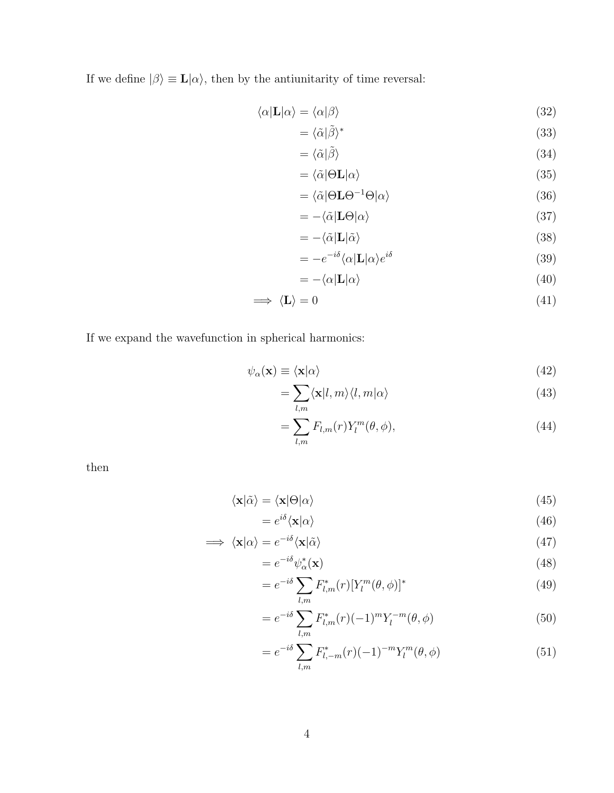If we define  $|\beta\rangle \equiv \mathbf{L}|\alpha\rangle$ , then by the antiunitarity of time reversal:

$$
\langle \alpha | \mathbf{L} | \alpha \rangle = \langle \alpha | \beta \rangle \tag{32}
$$

$$
= \langle \tilde{\alpha} | \tilde{\beta} \rangle^* \tag{33}
$$

$$
= \langle \tilde{\alpha} | \tilde{\beta} \rangle \tag{34}
$$

$$
= \langle \tilde{\alpha} | \Theta \mathbf{L} | \alpha \rangle \tag{35}
$$

$$
= \langle \tilde{\alpha} | \Theta \mathbf{L} \Theta^{-1} \Theta | \alpha \rangle \tag{36}
$$

$$
= -\langle \tilde{\alpha} | \mathbf{L} \Theta | \alpha \rangle \tag{37}
$$

$$
= -\langle \tilde{\alpha} | \mathbf{L} | \tilde{\alpha} \rangle \tag{38}
$$

$$
= -e^{-i\delta} \langle \alpha | \mathbf{L} | \alpha \rangle e^{i\delta} \tag{39}
$$

$$
= -\langle \alpha | \mathbf{L} | \alpha \rangle \tag{40}
$$

$$
\implies \langle \mathbf{L} \rangle = 0 \tag{41}
$$

If we expand the wavefunction in spherical harmonics:

$$
\psi_{\alpha}(\mathbf{x}) \equiv \langle \mathbf{x} | \alpha \rangle \tag{42}
$$

$$
=\sum_{l,m}\langle \mathbf{x}|l,m\rangle\langle l,m|\alpha\rangle\tag{43}
$$

$$
=\sum_{l,m}F_{l,m}(r)Y_l^m(\theta,\phi),\tag{44}
$$

then

$$
\langle \mathbf{x} | \tilde{\alpha} \rangle = \langle \mathbf{x} | \Theta | \alpha \rangle \tag{45}
$$

$$
=e^{i\delta}\langle \mathbf{x}|\alpha\rangle\tag{46}
$$

$$
\implies \langle \mathbf{x} | \alpha \rangle = e^{-i\delta} \langle \mathbf{x} | \tilde{\alpha} \rangle \tag{47}
$$

$$
=e^{-i\delta}\psi_{\alpha}^*(\mathbf{x})\tag{48}
$$

$$
= e^{-i\delta} \sum_{l,m} F_{l,m}^*(r) [Y_l^m(\theta, \phi)]^*
$$
\n(49)

$$
= e^{-i\delta} \sum_{l,m} F_{l,m}^*(r) (-1)^m Y_l^{-m}(\theta, \phi)
$$
\n(50)

$$
= e^{-i\delta} \sum_{l,m} F_{l,-m}^*(r) (-1)^{-m} Y_l^m(\theta, \phi)
$$
\n(51)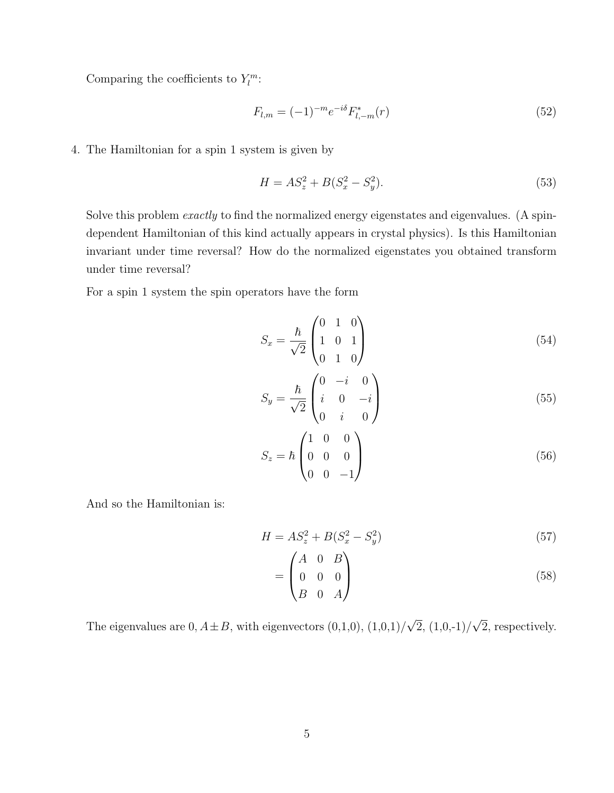Comparing the coefficients to  $Y_l^m$ :

$$
F_{l,m} = (-1)^{-m} e^{-i\delta} F_{l,-m}^*(r)
$$
\n(52)

4. The Hamiltonian for a spin 1 system is given by

$$
H = AS_z^2 + B(S_x^2 - S_y^2). \tag{53}
$$

Solve this problem *exactly* to find the normalized energy eigenstates and eigenvalues. (A spindependent Hamiltonian of this kind actually appears in crystal physics). Is this Hamiltonian invariant under time reversal? How do the normalized eigenstates you obtained transform under time reversal?

For a spin 1 system the spin operators have the form

$$
S_x = \frac{\hbar}{\sqrt{2}} \begin{pmatrix} 0 & 1 & 0 \\ 1 & 0 & 1 \\ 0 & 1 & 0 \end{pmatrix}
$$
 (54)

$$
S_y = \frac{\hbar}{\sqrt{2}} \begin{pmatrix} 0 & -i & 0 \\ i & 0 & -i \\ 0 & i & 0 \end{pmatrix}
$$
 (55)

$$
S_z = \hbar \begin{pmatrix} 1 & 0 & 0 \\ 0 & 0 & 0 \\ 0 & 0 & -1 \end{pmatrix}
$$
 (56)

And so the Hamiltonian is:

$$
H = AS_z^2 + B(S_x^2 - S_y^2)
$$
\n(57)

$$
= \begin{pmatrix} A & 0 & B \\ 0 & 0 & 0 \\ B & 0 & A \end{pmatrix}
$$
 (58)

The eigenvalues are 0,  $A \pm B$ , with eigenvectors  $(0,1,0)$ ,  $(1,0,1)/\sqrt{2}$ ,  $(1,0,-1)/\sqrt{2}$ , respectively.